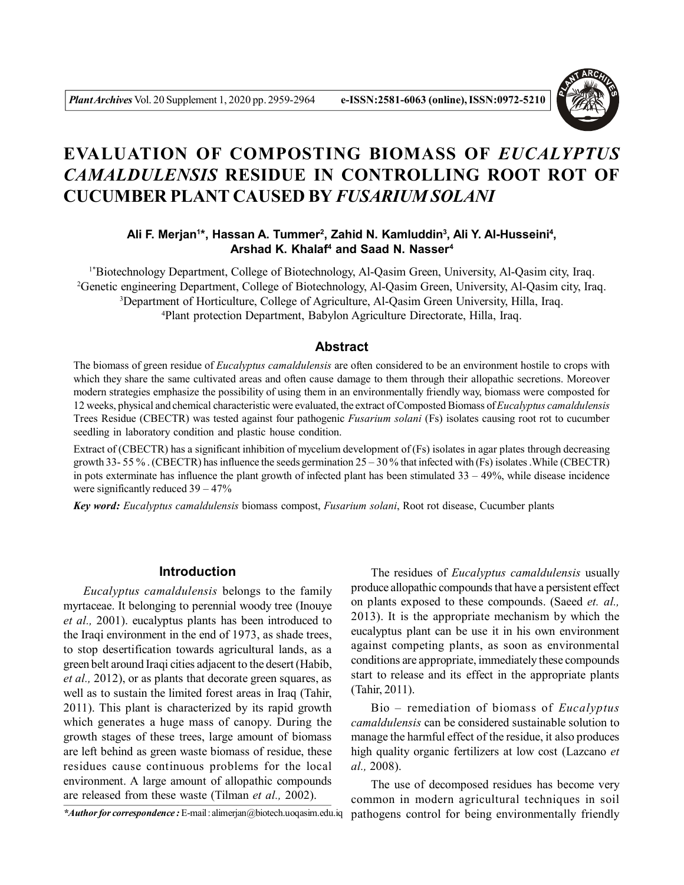

# **EVALUATION OF COMPOSTING BIOMASS OF** *EUCALYPTUS CAMALDULENSIS* **RESIDUE IN CONTROLLING ROOT ROT OF CUCUMBER PLANT CAUSED BY** *FUSARIUM SOLANI*

**Ali F. Merjan<sup>1</sup> \*, Hassan A. Tummer<sup>2</sup> , Zahid N. Kamluddin<sup>3</sup> , Ali Y. Al-Husseini<sup>4</sup> , Arshad K. Khalaf<sup>4</sup> and Saad N. Nasser<sup>4</sup>**

1\*Biotechnology Department, College of Biotechnology, Al-Qasim Green, University, Al-Qasim city, Iraq. Genetic engineering Department, College of Biotechnology, Al-Qasim Green, University, Al-Qasim city, Iraq. Department of Horticulture, College of Agriculture, Al-Qasim Green University, Hilla, Iraq. Plant protection Department, Babylon Agriculture Directorate, Hilla, Iraq.

## **Abstract**

The biomass of green residue of *Eucalyptus camaldulensis* are often considered to be an environment hostile to crops with which they share the same cultivated areas and often cause damage to them through their allopathic secretions. Moreover modern strategies emphasize the possibility of using them in an environmentally friendly way, biomass were composted for 12 weeks, physical and chemical characteristic were evaluated, the extract of Composted Biomass of *Eucalyptus camaldulensis* Trees Residue (CBECTR) was tested against four pathogenic *Fusarium solani* (Fs) isolates causing root rot to cucumber seedling in laboratory condition and plastic house condition.

Extract of (CBECTR) has a significant inhibition of mycelium development of (Fs) isolates in agar plates through decreasing growth 33- 55 %. (CBECTR) has influence the seeds germination  $25 - 30$  % that infected with (Fs) isolates. While (CBECTR) in pots exterminate has influence the plant growth of infected plant has been stimulated  $33 - 49\%$ , while disease incidence were significantly reduced 39 – 47%

*Key word: Eucalyptus camaldulensis* biomass compost, *Fusarium solani*, Root rot disease, Cucumber plants

## **Introduction**

*Eucalyptus camaldulensis* belongs to the family myrtaceae. It belonging to perennial woody tree (Inouye *et al.,* 2001). eucalyptus plants has been introduced to the Iraqi environment in the end of 1973, as shade trees, to stop desertification towards agricultural lands, as a green belt around Iraqi cities adjacent to the desert (Habib, *et al.,* 2012), or as plants that decorate green squares, as well as to sustain the limited forest areas in Iraq (Tahir, 2011). This plant is characterized by its rapid growth which generates a huge mass of canopy. During the growth stages of these trees, large amount of biomass are left behind as green waste biomass of residue, these residues cause continuous problems for the local environment. A large amount of allopathic compounds are released from these waste (Tilman *et al.,* 2002).

*\*Author for correspondence :* E-mail : alimerjan@biotech.uoqasim.edu.iq

The residues of *Eucalyptus camaldulensis* usually produce allopathic compounds that have a persistent effect on plants exposed to these compounds. (Saeed *et. al.,* 2013). It is the appropriate mechanism by which the eucalyptus plant can be use it in his own environment against competing plants, as soon as environmental conditions are appropriate, immediately these compounds start to release and its effect in the appropriate plants (Tahir, 2011).

Bio – remediation of biomass of *Eucalyptus camaldulensis* can be considered sustainable solution to manage the harmful effect of the residue, it also produces high quality organic fertilizers at low cost (Lazcano *et al.,* 2008).

The use of decomposed residues has become very common in modern agricultural techniques in soil pathogens control for being environmentally friendly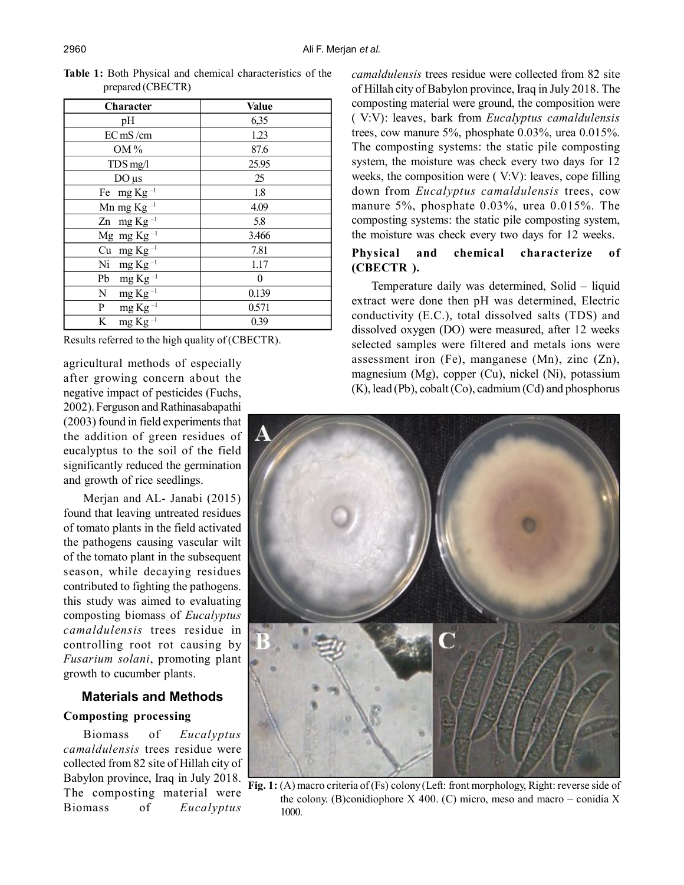| Character                   | Value    |  |
|-----------------------------|----------|--|
| pH                          | 6,35     |  |
| EC mS/cm                    | 1.23     |  |
| $OM\%$                      | 87.6     |  |
| TDS mg/l                    | 25.95    |  |
| $DO \mu s$                  | 25       |  |
| Fe $mg$ Kg <sup>-1</sup>    | 1.8      |  |
| Mn mg Kg $^{-1}$            | 4.09     |  |
| Zn mg Kg $^{-1}$            | 5.8      |  |
| Mg mg Kg $^{-1}$            | 3.466    |  |
| Cu mg $Kg^{-1}$             | 7.81     |  |
| Ni mg Kg $^{-1}$            | 1.17     |  |
| Pb<br>mg $\text{Kg}^{-1}$   | $\theta$ |  |
| N<br>mg Kg $^{-1}$          | 0.139    |  |
| $mg\overline{Kg^{-1}}$<br>P | 0.571    |  |
| mg Kg $^{-1}$<br>K          | 0.39     |  |

**Table 1:** Both Physical and chemical characteristics of the prepared (CBECTR)

Results referred to the high quality of (CBECTR).

agricultural methods of especially after growing concern about the negative impact of pesticides (Fuchs, 2002). Ferguson and Rathinasabapathi (2003) found in field experiments that the addition of green residues of eucalyptus to the soil of the field significantly reduced the germination and growth of rice seedlings.

Merjan and AL- Janabi (2015) found that leaving untreated residues of tomato plants in the field activated the pathogens causing vascular wilt of the tomato plant in the subsequent season, while decaying residues contributed to fighting the pathogens. this study was aimed to evaluating composting biomass of *Eucalyptus camaldulensis* trees residue in controlling root rot causing by *Fusarium solani*, promoting plant growth to cucumber plants.

# **Materials and Methods**

## **Composting processing**

Biomass of *Eucalyptus camaldulensis* trees residue were collected from 82 site of Hillah city of Babylon province, Iraq in July 2018. The composting material were Biomass of *Eucalyptus*

*camaldulensis* trees residue were collected from 82 site of Hillah city of Babylon province, Iraq in July 2018. The composting material were ground, the composition were ( V:V): leaves, bark from *Eucalyptus camaldulensis* trees, cow manure 5%, phosphate 0.03%, urea 0.015%. The composting systems: the static pile composting system, the moisture was check every two days for 12 weeks, the composition were ( V:V): leaves, cope filling down from *Eucalyptus camaldulensis* trees, cow manure 5%, phosphate 0.03%, urea 0.015%. The composting systems: the static pile composting system, the moisture was check every two days for 12 weeks.

## **Physical and chemical characterize of (CBECTR ).**

Temperature daily was determined, Solid – liquid extract were done then pH was determined, Electric conductivity (E.C.), total dissolved salts (TDS) and dissolved oxygen (DO) were measured, after 12 weeks selected samples were filtered and metals ions were assessment iron (Fe), manganese (Mn), zinc (Zn), magnesium (Mg), copper (Cu), nickel (Ni), potassium (K), lead (Pb), cobalt (Co), cadmium (Cd) and phosphorus



**Fig. 1:** (A) macro criteria of (Fs) colony (Left: front morphology, Right: reverse side of the colony. (B)conidiophore  $X$  400. (C) micro, meso and macro – conidia X 1000.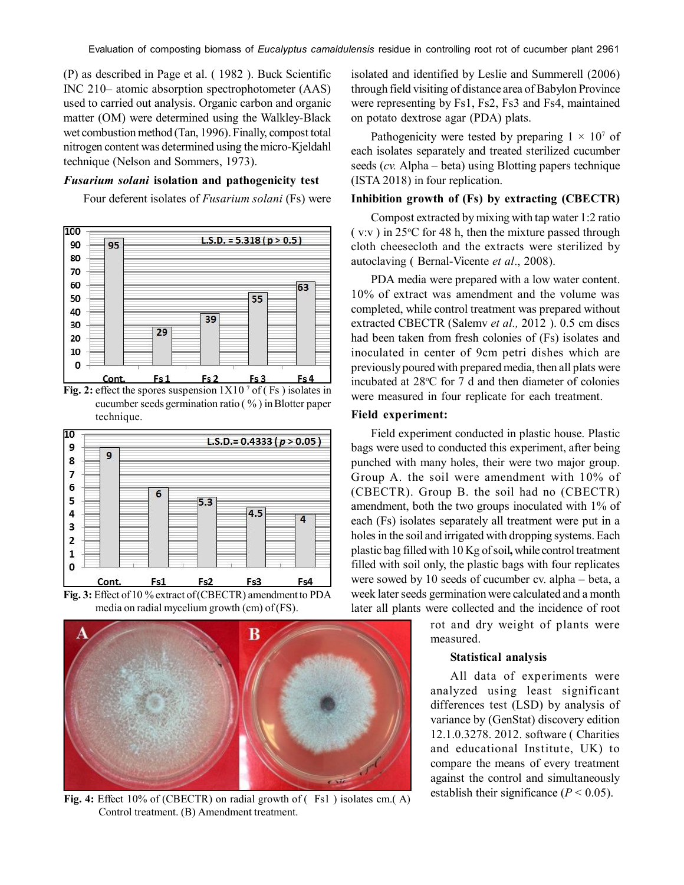(P) as described in Page et al. ( 1982 ). Buck Scientific INC 210– atomic absorption spectrophotometer (AAS) used to carried out analysis. Organic carbon and organic matter (OM) were determined using the Walkley-Black wet combustion method (Tan, 1996). Finally, compost total nitrogen content was determined using the micro-Kjeldahl technique (Nelson and Sommers, 1973).

## *Fusarium solani* **isolation and pathogenicity test**

Four deferent isolates of *Fusarium solani* (Fs) were



**Fig. 2:** effect the spores suspension  $1X10<sup>7</sup>$  of (Fs) isolates in cucumber seeds germination ratio ( % ) in Blotter paper technique.



**Fig. 3:** Effect of 10 % extract of (CBECTR) amendment to PDA media on radial mycelium growth (cm) of (FS).



Fig. 4: Effect 10% of (CBECTR) on radial growth of  $($  Fs1  $)$  isolates cm. $(A)$ Control treatment. (B) Amendment treatment.

isolated and identified by Leslie and Summerell (2006) through field visiting of distance area of Babylon Province were representing by Fs1, Fs2, Fs3 and Fs4, maintained on potato dextrose agar (PDA) plats.

Pathogenicity were tested by preparing  $1 \times 10^7$  of each isolates separately and treated sterilized cucumber seeds (*cv.* Alpha – beta) using Blotting papers technique (ISTA 2018) in four replication.

## **Inhibition growth of (Fs) by extracting (CBECTR)**

Compost extracted by mixing with tap water 1:2 ratio  $(v:v)$  in 25 $\degree$ C for 48 h, then the mixture passed through cloth cheesecloth and the extracts were sterilized by autoclaving ( Bernal-Vicente *et al*., 2008).

PDA media were prepared with a low water content. 10% of extract was amendment and the volume was completed, while control treatment was prepared without extracted CBECTR (Salemv *et al.,* 2012 ). 0.5 cm discs had been taken from fresh colonies of (Fs) isolates and inoculated in center of 9cm petri dishes which are previously poured with prepared media, then all plats were incubated at 28°C for 7 d and then diameter of colonies were measured in four replicate for each treatment.

# **Field experiment:**

Field experiment conducted in plastic house. Plastic bags were used to conducted this experiment, after being punched with many holes, their were two major group. Group A. the soil were amendment with 10% of (CBECTR). Group B. the soil had no (CBECTR) amendment, both the two groups inoculated with 1% of each (Fs) isolates separately all treatment were put in a holes in the soil and irrigated with dropping systems. Each plastic bag filled with 10 Kg of soil**,** while control treatment filled with soil only, the plastic bags with four replicates were sowed by 10 seeds of cucumber cv. alpha – beta, a week later seeds germination were calculated and a month later all plants were collected and the incidence of root

> rot and dry weight of plants were measured.

# **Statistical analysis**

All data of experiments were analyzed using least significant differences test (LSD) by analysis of variance by (GenStat) discovery edition 12.1.0.3278. 2012. software ( Charities and educational Institute, UK) to compare the means of every treatment against the control and simultaneously establish their significance  $(P < 0.05)$ .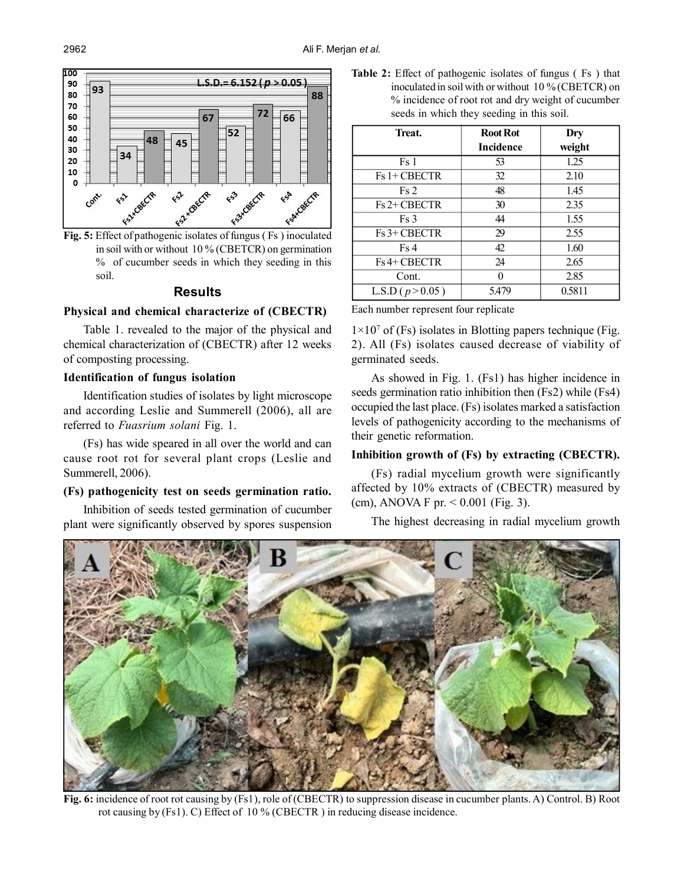

**Fig. 5:** Effect of pathogenic isolates of fungus ( Fs ) inoculated in soil with or without 10 % (CBETCR) on germination % of cucumber seeds in which they seeding in this soil.

#### **Results**

## **Physical and chemical characterize of (CBECTR)**

Table 1. revealed to the major of the physical and chemical characterization of (CBECTR) after 12 weeks of composting processing.

#### **Identification of fungus isolation**

Identification studies of isolates by light microscope and according Leslie and Summerell (2006), all are referred to *Fuasrium solani* Fig. 1.

(Fs) has wide speared in all over the world and can cause root rot for several plant crops (Leslie and Summerell, 2006).

#### **(Fs) pathogenicity test on seeds germination ratio.**

Inhibition of seeds tested germination of cucumber plant were significantly observed by spores suspension **Table 2:** Effect of pathogenic isolates of fungus ( Fs ) that inoculated in soil with or without 10 % (CBETCR) on % incidence of root rot and dry weight of cucumber seeds in which they seeding in this soil.

| Treat.               | <b>Root Rot</b>  | Dry    |
|----------------------|------------------|--------|
|                      | <b>Incidence</b> | weight |
| Fs 1                 | 53               | 1.25   |
| Fs 1+ CBECTR         | 32               | 2.10   |
| Fs2                  | 48               | 1.45   |
| Fs 2+ CBECTR         | 30               | 2.35   |
| Fs3                  | 44               | 1.55   |
| Fs 3+ CBECTR         | 29               | 2.55   |
| Fs4                  | 42               | 1.60   |
| Fs 4+ CBECTR         | 24               | 2.65   |
| Cont.                |                  | 2.85   |
| L.S.D ( $p > 0.05$ ) | 5.479            | 0.5811 |

Each number represent four replicate

 $1 \times 10^7$  of (Fs) isolates in Blotting papers technique (Fig. 2). All (Fs) isolates caused decrease of viability of germinated seeds.

As showed in Fig. 1. (Fs1) has higher incidence in seeds germination ratio inhibition then (Fs2) while (Fs4) occupied the last place. (Fs) isolates marked a satisfaction levels of pathogenicity according to the mechanisms of their genetic reformation.

### **Inhibition growth of (Fs) by extracting (CBECTR).**

(Fs) radial mycelium growth were significantly affected by 10% extracts of (CBECTR) measured by (cm), ANOVA F pr. < 0.001 (Fig. 3).

The highest decreasing in radial mycelium growth



**Fig. 6:** incidence of root rot causing by (Fs1), role of (CBECTR) to suppression disease in cucumber plants. A) Control. B) Root rot causing by (Fs1). C) Effect of 10 % (CBECTR ) in reducing disease incidence.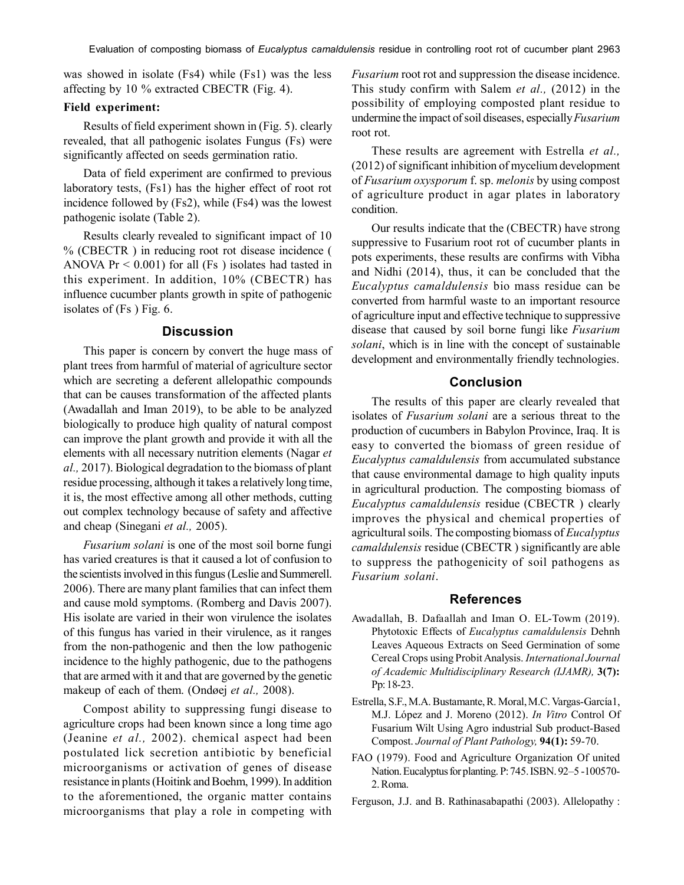was showed in isolate (Fs4) while (Fs1) was the less affecting by 10 % extracted CBECTR (Fig. 4).

#### **Field experiment:**

Results of field experiment shown in (Fig. 5). clearly revealed, that all pathogenic isolates Fungus (Fs) were significantly affected on seeds germination ratio.

Data of field experiment are confirmed to previous laboratory tests, (Fs1) has the higher effect of root rot incidence followed by (Fs2), while (Fs4) was the lowest pathogenic isolate (Table 2).

Results clearly revealed to significant impact of 10 % (CBECTR ) in reducing root rot disease incidence ( ANOVA  $Pr < 0.001$ ) for all (Fs) isolates had tasted in this experiment. In addition, 10% (CBECTR) has influence cucumber plants growth in spite of pathogenic isolates of (Fs ) Fig. 6.

## **Discussion**

This paper is concern by convert the huge mass of plant trees from harmful of material of agriculture sector which are secreting a deferent allelopathic compounds that can be causes transformation of the affected plants (Awadallah and Iman 2019), to be able to be analyzed biologically to produce high quality of natural compost can improve the plant growth and provide it with all the elements with all necessary nutrition elements (Nagar *et al.,* 2017). Biological degradation to the biomass of plant residue processing, although it takes a relatively long time, it is, the most effective among all other methods, cutting out complex technology because of safety and affective and cheap (Sinegani *et al.,* 2005).

*Fusarium solani* is one of the most soil borne fungi has varied creatures is that it caused a lot of confusion to the scientists involved in this fungus (Leslie and Summerell. 2006). There are many plant families that can infect them and cause mold symptoms. (Romberg and Davis 2007). His isolate are varied in their won virulence the isolates of this fungus has varied in their virulence, as it ranges from the non-pathogenic and then the low pathogenic incidence to the highly pathogenic, due to the pathogens that are armed with it and that are governed by the genetic makeup of each of them. (Ondøej *et al.,* 2008).

Compost ability to suppressing fungi disease to agriculture crops had been known since a long time ago (Jeanine *et al.,* 2002). chemical aspect had been postulated lick secretion antibiotic by beneficial microorganisms or activation of genes of disease resistance in plants(Hoitink and Boehm, 1999). In addition to the aforementioned, the organic matter contains microorganisms that play a role in competing with *Fusarium* root rot and suppression the disease incidence. This study confirm with Salem *et al.,* (2012) in the possibility of employing composted plant residue to undermine the impact of soil diseases, especially *Fusarium* root rot.

These results are agreement with Estrella *et al.,* (2012) of significant inhibition of mycelium development of *Fusarium oxysporum* f. sp. *melonis* by using compost of agriculture product in agar plates in laboratory condition.

Our results indicate that the (CBECTR) have strong suppressive to Fusarium root rot of cucumber plants in pots experiments, these results are confirms with Vibha and Nidhi (2014), thus, it can be concluded that the *Eucalyptus camaldulensis* bio mass residue can be converted from harmful waste to an important resource of agriculture input and effective technique to suppressive disease that caused by soil borne fungi like *Fusarium solani*, which is in line with the concept of sustainable development and environmentally friendly technologies.

## **Conclusion**

The results of this paper are clearly revealed that isolates of *Fusarium solani* are a serious threat to the production of cucumbers in Babylon Province, Iraq. It is easy to converted the biomass of green residue of *Eucalyptus camaldulensis* from accumulated substance that cause environmental damage to high quality inputs in agricultural production. The composting biomass of *Eucalyptus camaldulensis* residue (CBECTR ) clearly improves the physical and chemical properties of agricultural soils. The composting biomass of *Eucalyptus camaldulensis* residue (CBECTR ) significantly are able to suppress the pathogenicity of soil pathogens as *Fusarium solani*.

#### **References**

- Awadallah, B. Dafaallah and Iman O. EL-Towm (2019). Phytotoxic Effects of *Eucalyptus camaldulensis* Dehnh Leaves Aqueous Extracts on Seed Germination of some Cereal Crops using Probit Analysis. *International Journal of Academic Multidisciplinary Research (IJAMR),* **3(7):** Pp: 18-23.
- Estrella, S.F., M.A. Bustamante, R. Moral, M.C. Vargas-García1, M.J. López and J. Moreno (2012). *In Vitro* Control Of Fusarium Wilt Using Agro industrial Sub product-Based Compost. *Journal of Plant Pathology,* **94(1):** 59-70.
- FAO (1979). Food and Agriculture Organization Of united Nation. Eucalyptus for planting. P: 745. ISBN. 92–5 -100570- 2. Roma.
- Ferguson, J.J. and B. Rathinasabapathi (2003). Allelopathy :